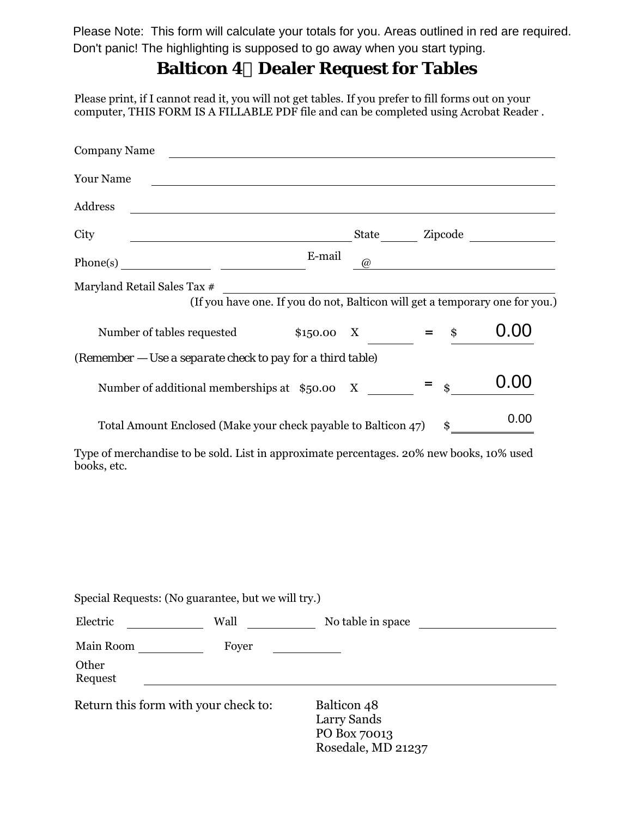Don't panic! The highlighting is supposed to go away when you start typing.Please Note: This form will calculate your totals for you. Areas outlined in red are required.

## **Balticon 4 Dealer Request for Tables**

Please print, if I cannot read it, you will not get tables. If you prefer to fill forms out on your computer, THIS FORM IS A FILLABLE PDF file and can be completed using Acrobat Reader .

| <b>Company Name</b>                                                                                                               |          |       |                   |      |
|-----------------------------------------------------------------------------------------------------------------------------------|----------|-------|-------------------|------|
| <b>Your Name</b>                                                                                                                  |          |       |                   |      |
| Address                                                                                                                           |          |       |                   |      |
| City<br><u> 2008 - Andrea Station Barbara, amerikan personal personal personal personal personal personal personal personal p</u> |          |       |                   |      |
|                                                                                                                                   | E-mail   | (a)   |                   |      |
| Maryland Retail Sales Tax #<br>(If you have one. If you do not, Balticon will get a temporary one for you.)                       |          |       |                   |      |
| Number of tables requested                                                                                                        | \$150.00 | $X =$ | \$                | U.U  |
| (Remember - Use a separate check to pay for a third table)                                                                        |          |       |                   |      |
| Number of additional memberships at \$50.00 X                                                                                     |          |       | $\ddot{\text{s}}$ | 0.00 |
| Total Amount Enclosed (Make your check payable to Balticon 47)                                                                    |          |       | \$                | 0.00 |

Type of merchandise to be sold. List in approximate percentages. 20% new books, 10% used books, etc.

|                                      | Special Requests: (No guarantee, but we will try.) |                                                                  |  |
|--------------------------------------|----------------------------------------------------|------------------------------------------------------------------|--|
| Electric                             | Wall                                               | No table in space                                                |  |
| Main Room                            | Foyer                                              |                                                                  |  |
| Other<br>Request                     |                                                    |                                                                  |  |
| Return this form with your check to: |                                                    | Balticon 48<br>Larry Sands<br>PO Box 70013<br>Rosedale, MD 21237 |  |